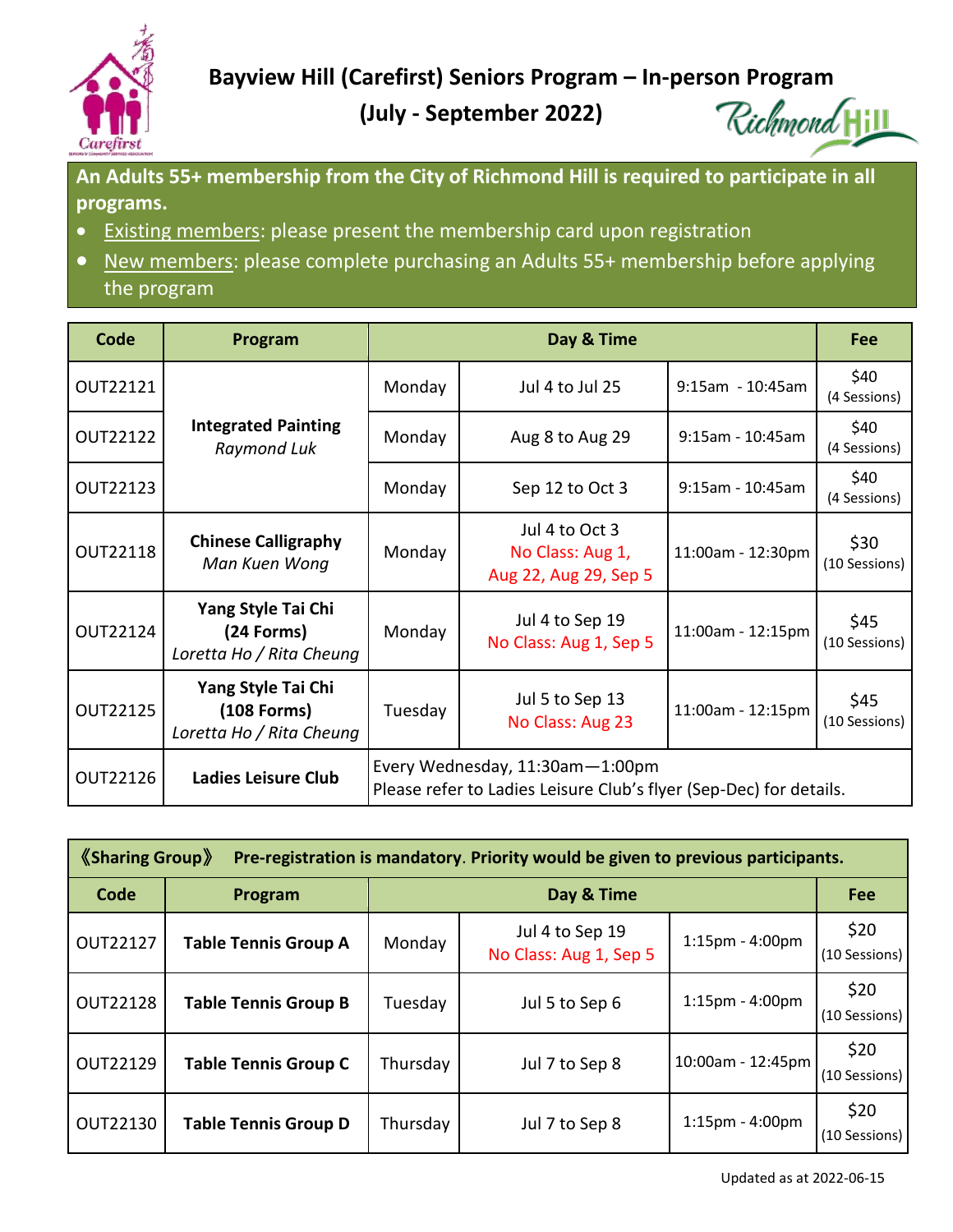

 **Bayview Hill (Carefirst) Seniors Program – In-person Program**

**(July - September 2022)**

Richmond Hill

**An Adults 55+ membership from the City of Richmond Hill is required to participate in all programs.**

- **Existing members:** please present the membership card upon registration
- New members: please complete purchasing an Adults 55+ membership before applying the program

| Code            | Program                                                         | Day & Time                                                                                            |                                                             |                     | Fee                   |  |  |
|-----------------|-----------------------------------------------------------------|-------------------------------------------------------------------------------------------------------|-------------------------------------------------------------|---------------------|-----------------------|--|--|
| OUT22121        |                                                                 | Monday                                                                                                | Jul 4 to Jul 25                                             | 9:15am - 10:45am    | \$40<br>(4 Sessions)  |  |  |
| <b>OUT22122</b> | <b>Integrated Painting</b><br>Raymond Luk                       | Monday                                                                                                | Aug 8 to Aug 29                                             | 9:15am - 10:45am    | \$40<br>(4 Sessions)  |  |  |
| OUT22123        |                                                                 | Monday                                                                                                | Sep 12 to Oct 3                                             | $9:15$ am - 10:45am | \$40<br>(4 Sessions)  |  |  |
| <b>OUT22118</b> | <b>Chinese Calligraphy</b><br>Man Kuen Wong                     | Monday                                                                                                | Jul 4 to Oct 3<br>No Class: Aug 1,<br>Aug 22, Aug 29, Sep 5 | 11:00am - 12:30pm   | \$30<br>(10 Sessions) |  |  |
| OUT22124        | Yang Style Tai Chi<br>(24 Forms)<br>Loretta Ho / Rita Cheung    | Monday                                                                                                | Jul 4 to Sep 19<br>No Class: Aug 1, Sep 5                   | 11:00am - 12:15pm   | \$45<br>(10 Sessions) |  |  |
| OUT22125        | Yang Style Tai Chi<br>$(108$ Forms)<br>Loretta Ho / Rita Cheung | Tuesday                                                                                               | Jul 5 to Sep 13<br>No Class: Aug 23                         | 11:00am - 12:15pm   | \$45<br>(10 Sessions) |  |  |
| OUT22126        | <b>Ladies Leisure Club</b>                                      | Every Wednesday, 11:30am-1:00pm<br>Please refer to Ladies Leisure Club's flyer (Sep-Dec) for details. |                                                             |                     |                       |  |  |

| $\langle$ Sharing Group $\rangle$<br>Pre-registration is mandatory. Priority would be given to previous participants. |                             |            |                                           |                       |                       |  |  |  |
|-----------------------------------------------------------------------------------------------------------------------|-----------------------------|------------|-------------------------------------------|-----------------------|-----------------------|--|--|--|
| Code                                                                                                                  | Program                     | Day & Time |                                           |                       | Fee                   |  |  |  |
| <b>OUT22127</b>                                                                                                       | <b>Table Tennis Group A</b> | Monday     | Jul 4 to Sep 19<br>No Class: Aug 1, Sep 5 | $1:15$ pm - $4:00$ pm | \$20<br>(10 Sessions) |  |  |  |
| <b>OUT22128</b>                                                                                                       | <b>Table Tennis Group B</b> | Tuesday    | Jul 5 to Sep 6                            | $1:15$ pm - $4:00$ pm | \$20<br>(10 Sessions) |  |  |  |
| <b>OUT22129</b>                                                                                                       | <b>Table Tennis Group C</b> | Thursday   | Jul 7 to Sep 8                            | 10:00am - 12:45pm     | \$20<br>(10 Sessions) |  |  |  |
| OUT22130                                                                                                              | <b>Table Tennis Group D</b> | Thursday   | Jul 7 to Sep 8                            | $1:15$ pm - $4:00$ pm | \$20<br>(10 Sessions) |  |  |  |